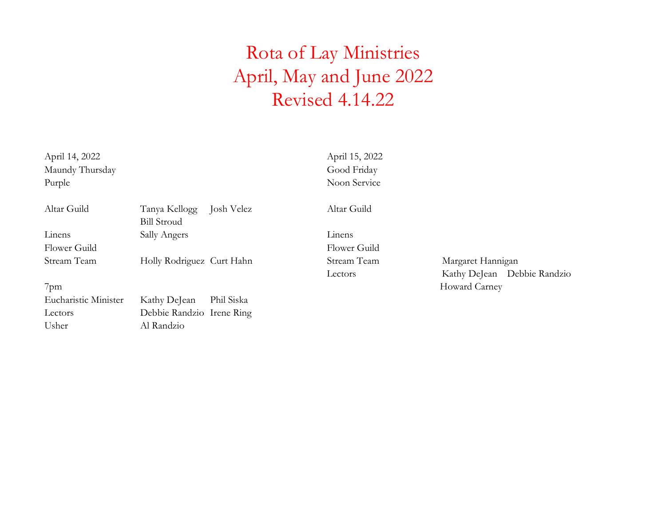April 14, 2022 April 15, 2022 Maundy Thursday Good Friday Purple Noon Service

| Altar Guild  | Tanya Kellogg Josh Velez  | Altar Guild  |                   |
|--------------|---------------------------|--------------|-------------------|
|              | <b>Bill Stroud</b>        |              |                   |
| Linens       | Sally Angers              | Linens       |                   |
| Flower Guild |                           | Flower Guild |                   |
| Stream Team  | Holly Rodriguez Curt Hahn | Stream Team  | Margaret Hannigan |
|              |                           | Lectors      | Kathy DeJean De   |

Eucharistic Minister Kathy DeJean Phil Siska Lectors Debbie Randzio Irene Ring Usher Al Randzio

Lectors Kathy DeJean Debbie Randzio 7pm Howard Carney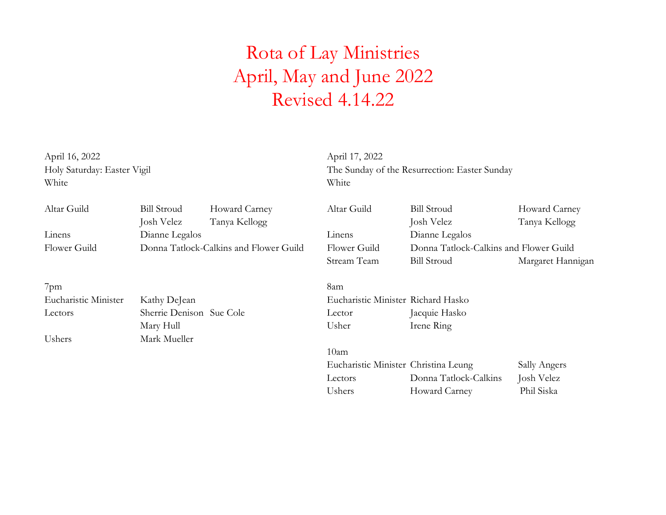April 16, 2022 April 17, 2022 White White White

Holy Saturday: Easter Vigil The Sunday of the Resurrection: Easter Sunday

| Altar Guild  | <b>Bill Stroud</b> | Howard Carney                          | Altar Guild | <b>Bill Stroud</b> | Howard Carney                          |
|--------------|--------------------|----------------------------------------|-------------|--------------------|----------------------------------------|
|              | Josh Velez         | Tanya Kellogg                          |             | Josh Velez         | Tanya Kellogg                          |
| Linens       | Dianne Legalos     |                                        | Linens      | Dianne Legalos     |                                        |
| Flower Guild |                    | Donna Tatlock-Calkins and Flower Guild |             |                    | Donna Tatlock-Calkins and Flower Guild |
|              |                    |                                        | Stream Team | <b>Bill Stroud</b> | Margaret Hannigan                      |

7pm 8am Eucharistic Minister Kathy DeJean Eucharistic Minister Richard Hasko Lectors Sherrie Denison Sue Cole Lector Jacquie Hasko Ushers Mark Mueller

Mary Hull Usher Irene Ring

10am Eucharistic Minister Christina Leung Sally Angers Lectors Donna Tatlock-Calkins Josh Velez Ushers Howard Carney Phil Siska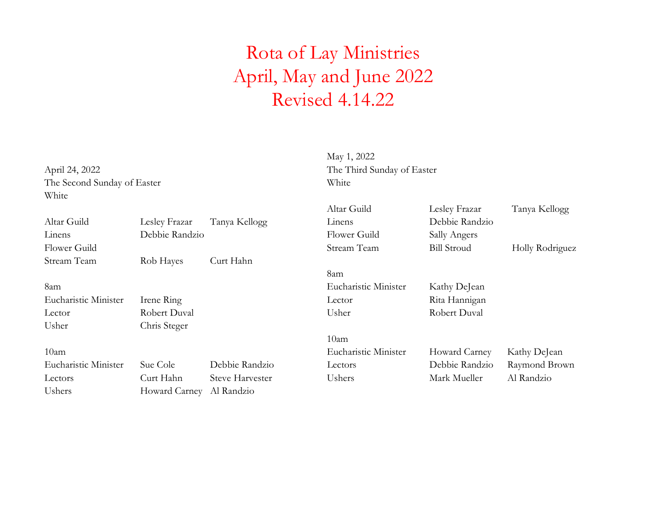The Second Sunday of Easter White White

May 1, 2022 April 24, 2022 The Third Sunday of Easter

|                      |                |                        | Altar Guild          | Lesley Frazar      | Tanya Kellogg   |
|----------------------|----------------|------------------------|----------------------|--------------------|-----------------|
| Altar Guild          | Lesley Frazar  | Tanya Kellogg          | Linens               | Debbie Randzio     |                 |
| Linens               | Debbie Randzio |                        | Flower Guild         | Sally Angers       |                 |
| Flower Guild         |                |                        | Stream Team          | <b>Bill Stroud</b> | Holly Rodriguez |
| Stream Team          | Rob Hayes      | Curt Hahn              |                      |                    |                 |
|                      |                |                        | 8am                  |                    |                 |
| 8am                  |                |                        | Eucharistic Minister | Kathy DeJean       |                 |
| Eucharistic Minister | Irene Ring     |                        | Lector               | Rita Hannigan      |                 |
| Lector               | Robert Duval   |                        | Usher                | Robert Duval       |                 |
| Usher                | Chris Steger   |                        |                      |                    |                 |
|                      |                |                        | 10am                 |                    |                 |
| 10am                 |                |                        | Eucharistic Minister | Howard Carney      | Kathy DeJean    |
| Eucharistic Minister | Sue Cole       | Debbie Randzio         | Lectors              | Debbie Randzio     | Raymond Brown   |
| Lectors              | Curt Hahn      | <b>Steve Harvester</b> | Ushers               | Mark Mueller       | Al Randzio      |
| Ushers               | Howard Carney  | Al Randzio             |                      |                    |                 |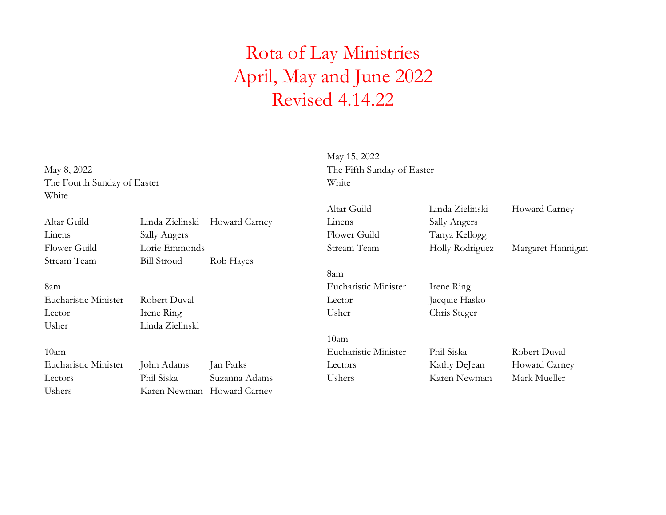The Fourth Sunday of Easter White White

May 15, 2022 May 8, 2022 The Fifth Sunday of Easter

|                      |                     |               | Altar Guild          | Linda Zielinski | Howard Carney     |
|----------------------|---------------------|---------------|----------------------|-----------------|-------------------|
| Altar Guild          | Linda Zielinski     | Howard Carney | Linens               | Sally Angers    |                   |
| Linens               | <b>Sally Angers</b> |               | Flower Guild         | Tanya Kellogg   |                   |
| Flower Guild         | Lorie Emmonds       |               | Stream Team          | Holly Rodriguez | Margaret Hannigan |
| Stream Team          | <b>Bill Stroud</b>  | Rob Hayes     |                      |                 |                   |
|                      |                     |               | 8am                  |                 |                   |
| 8am                  |                     |               | Eucharistic Minister | Irene Ring      |                   |
| Eucharistic Minister | Robert Duval        |               | Lector               | Jacquie Hasko   |                   |
| Lector               | Irene Ring          |               | Usher                | Chris Steger    |                   |
| Usher                | Linda Zielinski     |               |                      |                 |                   |
|                      |                     |               | 10 <sub>am</sub>     |                 |                   |
| 10am                 |                     |               | Eucharistic Minister | Phil Siska      | Robert Duval      |
| Eucharistic Minister | John Adams          | Jan Parks     | Lectors              | Kathy DeJean    | Howard Carney     |
| Lectors              | Phil Siska          | Suzanna Adams | Ushers               | Karen Newman    | Mark Mueller      |
| Ushers               | Karen Newman        | Howard Carney |                      |                 |                   |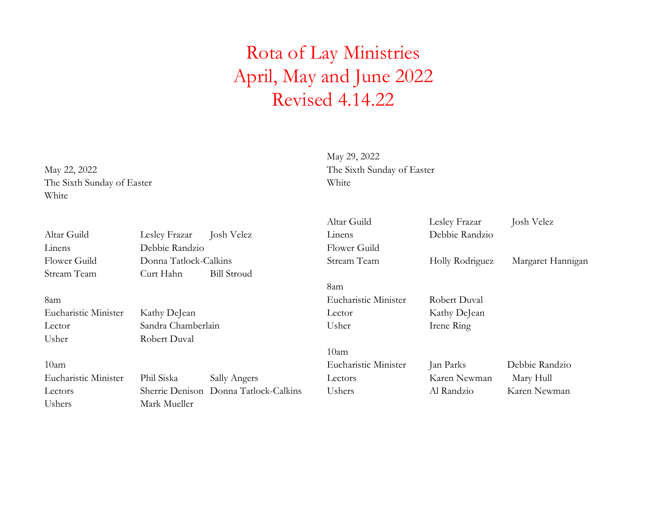The Sixth Sunday of Easter White White

May 29, 2022 May 22, 2022 The Sixth Sunday of Easter

| Altar Guild          | Lesley Frazar         | Josh Velez                            | Altar Guild<br>Linens | Lesley Frazar<br>Debbie Randzio | Josh Velez        |
|----------------------|-----------------------|---------------------------------------|-----------------------|---------------------------------|-------------------|
| Linens               | Debbie Randzio        |                                       | Flower Guild          |                                 |                   |
| Flower Guild         | Donna Tatlock-Calkins |                                       | Stream Team           | Holly Rodriguez                 | Margaret Hannigan |
| Stream Team          | Curt Hahn             | <b>Bill Stroud</b>                    |                       |                                 |                   |
|                      |                       |                                       | 8am                   |                                 |                   |
| 8am                  |                       |                                       | Eucharistic Minister  | Robert Duval                    |                   |
| Eucharistic Minister | Kathy DeJean          |                                       | Lector                | Kathy DeJean                    |                   |
| Lector               | Sandra Chamberlain    |                                       | Usher                 | Irene Ring                      |                   |
| Usher                | Robert Duval          |                                       |                       |                                 |                   |
|                      |                       |                                       | 10am                  |                                 |                   |
| 10am                 |                       |                                       | Eucharistic Minister  | Jan Parks                       | Debbie Randzio    |
| Eucharistic Minister | Phil Siska            | Sally Angers                          | Lectors               | Karen Newman                    | Mary Hull         |
| Lectors              |                       | Sherrie Denison Donna Tatlock-Calkins | Ushers                | Al Randzio                      | Karen Newman      |
| Ushers               | Mark Mueller          |                                       |                       |                                 |                   |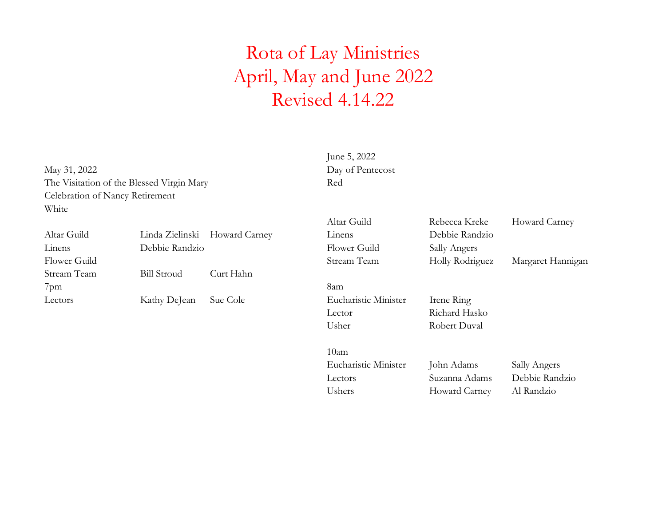May 31, 2022 Day of Pentecost The Visitation of the Blessed Virgin Mary Red Celebration of Nancy Retirement White

| Altar Guild  |                    | Linda Zielinski Howard Carney | Linens               | Debbie Rand         |
|--------------|--------------------|-------------------------------|----------------------|---------------------|
| Linens       | Debbie Randzio     |                               | Flower Guild         | <b>Sally Angers</b> |
| Flower Guild |                    |                               | Stream Team          | Holly Rodrig        |
| Stream Team  | <b>Bill Stroud</b> | Curt Hahn                     |                      |                     |
| $7$ pm       |                    |                               | 8am                  |                     |
| Lectors      | Kathy DeJean       | Sue Cole                      | Eucharistic Minister | Irene Ring          |
|              |                    |                               |                      | $T$ $T$ $T$ $T$ $T$ |

June 5, 2022

|              |                    |                               | Altar Guild  | Rebecca Kreke       | Howard Carney     |
|--------------|--------------------|-------------------------------|--------------|---------------------|-------------------|
| Altar Guild  |                    | Linda Zielinski Howard Carney | Linens       | Debbie Randzio      |                   |
| Linens       | Debbie Randzio     |                               | Flower Guild | <b>Sally Angers</b> |                   |
| Flower Guild |                    |                               | Stream Team  | Holly Rodriguez     | Margaret Hannigan |
| Stream Team  | <b>Bill Stroud</b> | Curt Hahn                     |              |                     |                   |

Lector Richard Hasko Usher Robert Duval

10am Eucharistic Minister John Adams Sally Angers Lectors Suzanna Adams Debbie Randzio Ushers Howard Carney Al Randzio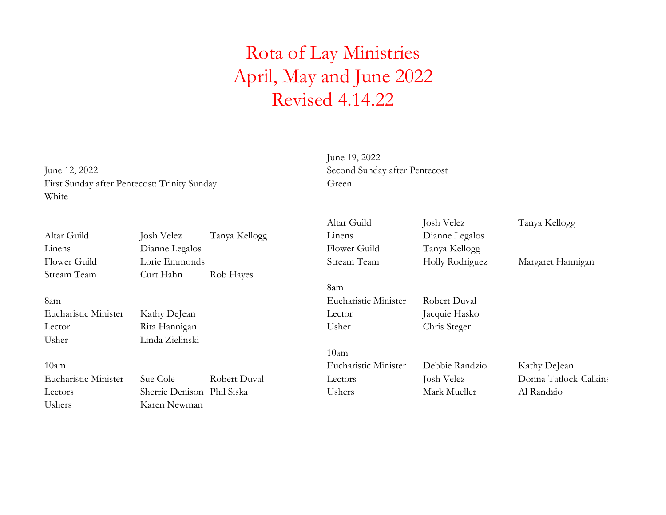June 12, 2022 Second Sunday after Pentecost First Sunday after Pentecost: Trinity Sunday Green White

June 19, 2022

|                      |                            |               | Altar Guild          | Josh Velez      | Tanya Kellogg         |
|----------------------|----------------------------|---------------|----------------------|-----------------|-----------------------|
| Altar Guild          | Josh Velez                 | Tanya Kellogg | Linens               | Dianne Legalos  |                       |
| Linens               | Dianne Legalos             |               | Flower Guild         | Tanya Kellogg   |                       |
| Flower Guild         | Lorie Emmonds              |               | Stream Team          | Holly Rodriguez | Margaret Hannigan     |
| Stream Team          | Curt Hahn                  | Rob Hayes     |                      |                 |                       |
|                      |                            |               | 8am                  |                 |                       |
| 8am                  |                            |               | Eucharistic Minister | Robert Duval    |                       |
| Eucharistic Minister | Kathy DeJean               |               | Lector               | Jacquie Hasko   |                       |
| Lector               | Rita Hannigan              |               | Usher                | Chris Steger    |                       |
| Usher                | Linda Zielinski            |               |                      |                 |                       |
|                      |                            |               | 10 <sub>am</sub>     |                 |                       |
| 10am                 |                            |               | Eucharistic Minister | Debbie Randzio  | Kathy DeJean          |
| Eucharistic Minister | Sue Cole                   | Robert Duval  | Lectors              | Josh Velez      | Donna Tatlock-Calkins |
| Lectors              | Sherrie Denison Phil Siska |               | Ushers               | Mark Mueller    | Al Randzio            |
| Ushers               | Karen Newman               |               |                      |                 |                       |